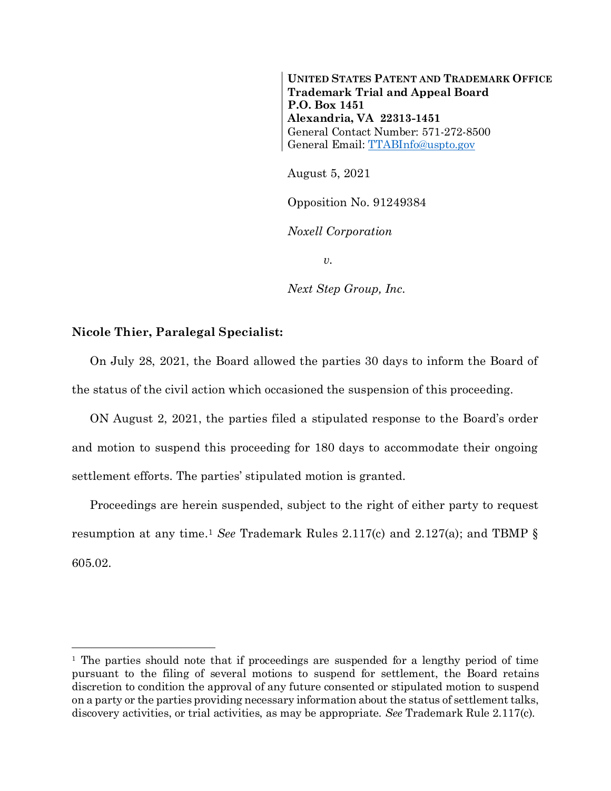**UNITED STATES PATENT AND TRADEMARK OFFICE Trademark Trial and Appeal Board P.O. Box 1451 Alexandria, VA 22313-1451** General Contact Number: 571-272-8500 General Email[: TTABInfo@uspto.gov](mailto:TTABInfo@uspto.gov)

August 5, 2021

Opposition No. 91249384

*Noxell Corporation*

*v.*

*Next Step Group, Inc.*

## **Nicole Thier, Paralegal Specialist:**

l

On July 28, 2021, the Board allowed the parties 30 days to inform the Board of the status of the civil action which occasioned the suspension of this proceeding.

ON August 2, 2021, the parties filed a stipulated response to the Board's order and motion to suspend this proceeding for 180 days to accommodate their ongoing settlement efforts. The parties' stipulated motion is granted.

Proceedings are herein suspended, subject to the right of either party to request resumption at any time. <sup>1</sup> *See* Trademark Rules 2.117(c) and 2.127(a); and TBMP § 605.02.

<sup>&</sup>lt;sup>1</sup> The parties should note that if proceedings are suspended for a lengthy period of time pursuant to the filing of several motions to suspend for settlement, the Board retains discretion to condition the approval of any future consented or stipulated motion to suspend on a party or the parties providing necessary information about the status of settlement talks, discovery activities, or trial activities, as may be appropriate. *See* Trademark Rule 2.117(c).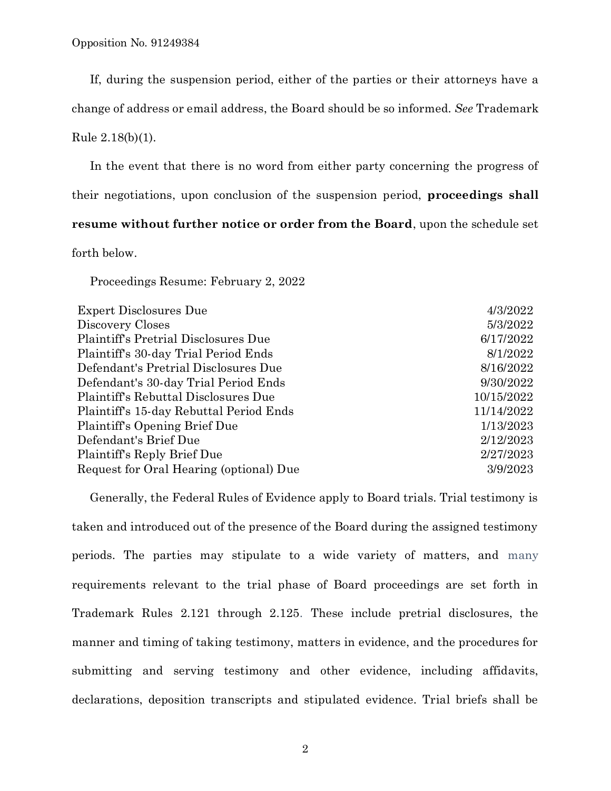If, during the suspension period, either of the parties or their attorneys have a

change of address or email address, the Board should be so informed. *See* Trademark

Rule 2.18(b)(1).

In the event that there is no word from either party concerning the progress of their negotiations, upon conclusion of the suspension period, **proceedings shall resume without further notice or order from the Board**, upon the schedule set

forth below.

Proceedings Resume: February 2, 2022

| <b>Expert Disclosures Due</b>           | 4/3/2022   |
|-----------------------------------------|------------|
| Discovery Closes                        | 5/3/2022   |
| Plaintiff's Pretrial Disclosures Due    | 6/17/2022  |
| Plaintiff's 30-day Trial Period Ends    | 8/1/2022   |
| Defendant's Pretrial Disclosures Due    | 8/16/2022  |
| Defendant's 30-day Trial Period Ends    | 9/30/2022  |
| Plaintiff's Rebuttal Disclosures Due    | 10/15/2022 |
| Plaintiff's 15-day Rebuttal Period Ends | 11/14/2022 |
| Plaintiff's Opening Brief Due           | 1/13/2023  |
| Defendant's Brief Due                   | 2/12/2023  |
| Plaintiff's Reply Brief Due             | 2/27/2023  |
| Request for Oral Hearing (optional) Due | 3/9/2023   |
|                                         |            |

Generally, the Federal Rules of Evidence apply to Board trials. Trial testimony is taken and introduced out of the presence of the Board during the assigned testimony periods. The parties may stipulate to a wide variety of matters, and many requirements relevant to the trial phase of Board proceedings are set forth in Trademark Rules 2.121 through 2.125. These include pretrial disclosures, the manner and timing of taking testimony, matters in evidence, and the procedures for submitting and serving testimony and other evidence, including affidavits, declarations, deposition transcripts and stipulated evidence. Trial briefs shall be